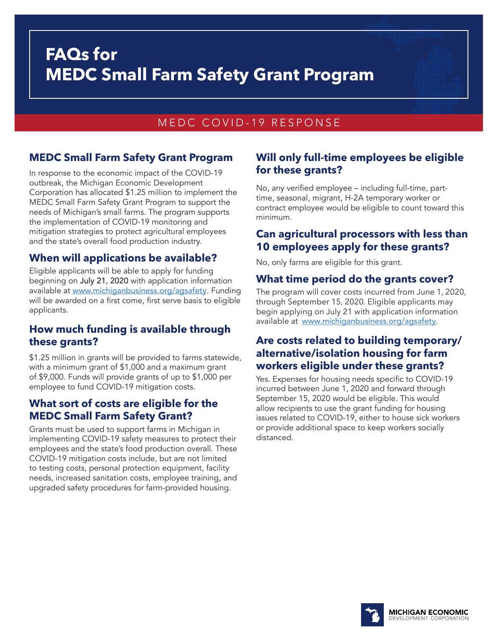# **FAQs for MEDC Small Farm Safety Grant Program**

# MEDC COVID-19 RESPONSE

### **MEDC Small Farm Safety Grant Program**

In response to the economic impact of the COVID-19 outbreak, the Michigan Economic Development Corporation has allocated \$1.25 million to implement the MEDC Small Farm Safety Grant Program to support the needs of Michigan's small farms. The program supports the implementation of COVID-19 monitoring and mitigation strategies to protect agricultural employees and the state's overall food production industry.

#### **When will applications be available?**

Eligible applicants will be able to apply for funding beginning on July 21, 2020 with application information available at [www.michiganbusiness.org/agsafety](http://www.michiganbusiness.org/agsafety). Funding will be awarded on a first come, first serve basis to eligible applicants.

#### **How much funding is available through these grants?**

\$1.25 million in grants will be provided to farms statewide, with a minimum grant of \$1,000 and a maximum grant of \$9,000. Funds will provide grants of up to \$1,000 per employee to fund COVID-19 mitigation costs.

#### **What sort of costs are eligible for the MEDC Small Farm Safety Grant?**

Grants must be used to support farms in Michigan in implementing COVID-19 safety measures to protect their employees and the state's food production overall. These COVID-19 mitigation costs include, but are not limited to testing costs, personal protection equipment, facility needs, increased sanitation costs, employee training, and upgraded safety procedures for farm-provided housing.

#### **Will only full-time employees be eligible for these grants?**

No, any verified employee – including full-time, parttime, seasonal, migrant, H-2A temporary worker or contract employee would be eligible to count toward this minimum.

#### **Can agricultural processors with less than 10 employees apply for these grants?**

No, only farms are eligible for this grant.

#### **What time period do the grants cover?**

The program will cover costs incurred from June 1, 2020, through September 15, 2020. Eligible applicants may begin applying on July 21 with application information available at [www.michiganbusiness.org/agsafety](http://www.michiganbusiness.org/agsafety).

#### **Are costs related to building temporary/ alternative/isolation housing for farm workers eligible under these grants?**

Yes. Expenses for housing needs specific to COVID-19 incurred between June 1, 2020 and forward through September 15, 2020 would be eligible. This would allow recipients to use the grant funding for housing issues related to COVID-19, either to house sick workers or provide additional space to keep workers socially distanced.